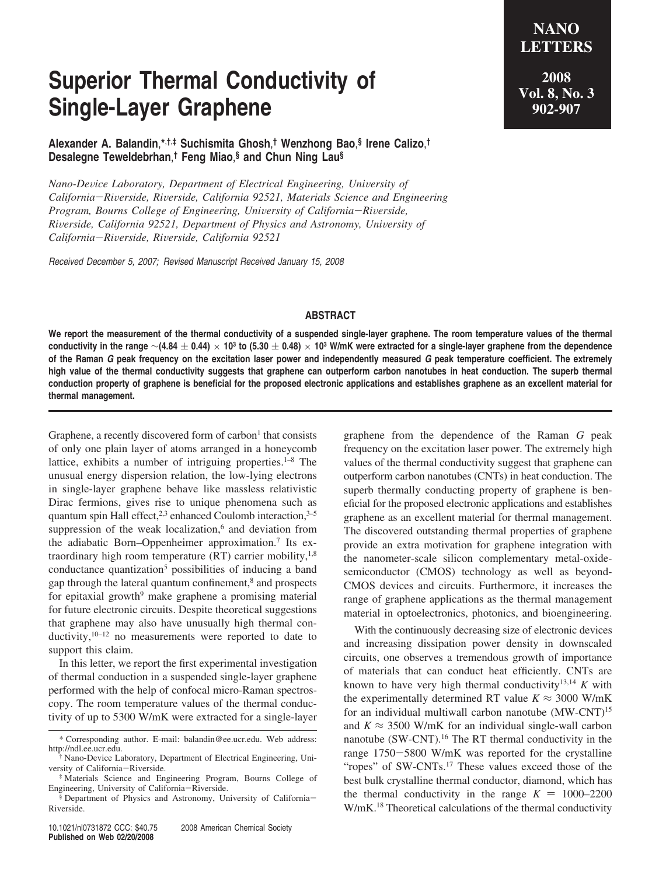**2008 Vol. 8, No. 3 902-907**

**NANO LETTERS**

## **Superior Thermal Conductivity of Single-Layer Graphene**

**Alexander A. Balandin**,**\***,**†**,**‡ Suchismita Ghosh**, **† Wenzhong Bao**, **§ Irene Calizo**, **† Desalegne Teweldebrhan**, **† Feng Miao**, **§ and Chun Ning Lau§**

*Nano-Device Laboratory, Department of Electrical Engineering, University of California*-*Ri*V*erside, Ri*V*erside, California 92521, Materials Science and Engineering Program, Bourns College of Engineering, University of California-Riverside, Riverside, California 92521, Department of Physics and Astronomy, University of California*-*Ri*V*erside, Ri*V*erside, California 92521*

*Received December 5, 2007; Revised Manuscript Received January 15, 2008*

## **ABSTRACT**

**We report the measurement of the thermal conductivity of a suspended single-layer graphene. The room temperature values of the thermal conductivity in the range** <sup>∼</sup>**(4.84** ( **0.44)** <sup>×</sup> **<sup>103</sup> to (5.30** ( **0.48)** <sup>×</sup> **<sup>103</sup> W/mK were extracted for a single-layer graphene from the dependence of the Raman** *G* **peak frequency on the excitation laser power and independently measured** *G* **peak temperature coefficient. The extremely high value of the thermal conductivity suggests that graphene can outperform carbon nanotubes in heat conduction. The superb thermal conduction property of graphene is beneficial for the proposed electronic applications and establishes graphene as an excellent material for thermal management.**

Graphene, a recently discovered form of carbon<sup>1</sup> that consists of only one plain layer of atoms arranged in a honeycomb lattice, exhibits a number of intriguing properties.<sup>1-8</sup> The unusual energy dispersion relation, the low-lying electrons in single-layer graphene behave like massless relativistic Dirac fermions, gives rise to unique phenomena such as quantum spin Hall effect, $2,3$  enhanced Coulomb interaction, $3-5$ suppression of the weak localization,<sup>6</sup> and deviation from the adiabatic Born–Oppenheimer approximation.7 Its extraordinary high room temperature  $(RT)$  carrier mobility,<sup>1,8</sup> conductance quantization<sup>5</sup> possibilities of inducing a band gap through the lateral quantum confinement,8 and prospects for epitaxial growth<sup>9</sup> make graphene a promising material for future electronic circuits. Despite theoretical suggestions that graphene may also have unusually high thermal conductivity,10–12 no measurements were reported to date to support this claim.

In this letter, we report the first experimental investigation of thermal conduction in a suspended single-layer graphene performed with the help of confocal micro-Raman spectroscopy. The room temperature values of the thermal conductivity of up to 5300 W/mK were extracted for a single-layer

graphene from the dependence of the Raman *G* peak frequency on the excitation laser power. The extremely high values of the thermal conductivity suggest that graphene can outperform carbon nanotubes (CNTs) in heat conduction. The superb thermally conducting property of graphene is beneficial for the proposed electronic applications and establishes graphene as an excellent material for thermal management. The discovered outstanding thermal properties of graphene provide an extra motivation for graphene integration with the nanometer-scale silicon complementary metal-oxidesemiconductor (CMOS) technology as well as beyond-CMOS devices and circuits. Furthermore, it increases the range of graphene applications as the thermal management material in optoelectronics, photonics, and bioengineering.

With the continuously decreasing size of electronic devices and increasing dissipation power density in downscaled circuits, one observes a tremendous growth of importance of materials that can conduct heat efficiently. CNTs are known to have very high thermal conductivity<sup>13,14</sup>  $K$  with the experimentally determined RT value  $K \approx 3000$  W/mK for an individual multiwall carbon nanotube  $(MW-CNT)^{15}$ and  $K \approx 3500$  W/mK for an individual single-wall carbon nanotube (SW-CNT).16 The RT thermal conductivity in the range 1750-5800 W/mK was reported for the crystalline "ropes" of SW-CNTs.17 These values exceed those of the best bulk crystalline thermal conductor, diamond, which has the thermal conductivity in the range  $K = 1000-2200$ W/mK.18 Theoretical calculations of the thermal conductivity

<sup>\*</sup> Corresponding author. E-mail: balandin@ee.ucr.edu. Web address: http://ndl.ee.ucr.edu.

Nano-Device Laboratory, Department of Electrical Engineering, University of California-Riverside. ‡ Materials Science and Engineering Program, Bourns College of

Engineering, University of California-Riverside.

<sup>§</sup> Department of Physics and Astronomy, University of California-Riverside.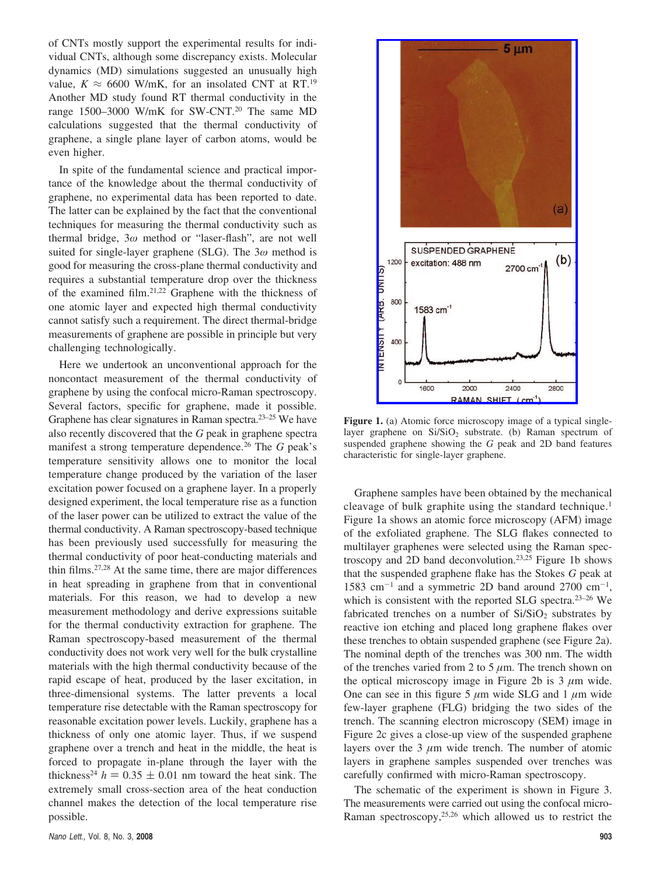of CNTs mostly support the experimental results for individual CNTs, although some discrepancy exists. Molecular dynamics (MD) simulations suggested an unusually high value,  $K \approx 6600$  W/mK, for an insolated CNT at RT.<sup>19</sup> Another MD study found RT thermal conductivity in the range 1500–3000 W/mK for SW-CNT.<sup>20</sup> The same MD calculations suggested that the thermal conductivity of graphene, a single plane layer of carbon atoms, would be even higher.

In spite of the fundamental science and practical importance of the knowledge about the thermal conductivity of graphene, no experimental data has been reported to date. The latter can be explained by the fact that the conventional techniques for measuring the thermal conductivity such as thermal bridge, 3*ω* method or "laser-flash", are not well suited for single-layer graphene (SLG). The 3*ω* method is good for measuring the cross-plane thermal conductivity and requires a substantial temperature drop over the thickness of the examined film.21,22 Graphene with the thickness of one atomic layer and expected high thermal conductivity cannot satisfy such a requirement. The direct thermal-bridge measurements of graphene are possible in principle but very challenging technologically.

Here we undertook an unconventional approach for the noncontact measurement of the thermal conductivity of graphene by using the confocal micro-Raman spectroscopy. Several factors, specific for graphene, made it possible. Graphene has clear signatures in Raman spectra.<sup>23–25</sup> We have also recently discovered that the *G* peak in graphene spectra manifest a strong temperature dependence.<sup>26</sup> The *G* peak's temperature sensitivity allows one to monitor the local temperature change produced by the variation of the laser excitation power focused on a graphene layer. In a properly designed experiment, the local temperature rise as a function of the laser power can be utilized to extract the value of the thermal conductivity. A Raman spectroscopy-based technique has been previously used successfully for measuring the thermal conductivity of poor heat-conducting materials and thin films.27,28 At the same time, there are major differences in heat spreading in graphene from that in conventional materials. For this reason, we had to develop a new measurement methodology and derive expressions suitable for the thermal conductivity extraction for graphene. The Raman spectroscopy-based measurement of the thermal conductivity does not work very well for the bulk crystalline materials with the high thermal conductivity because of the rapid escape of heat, produced by the laser excitation, in three-dimensional systems. The latter prevents a local temperature rise detectable with the Raman spectroscopy for reasonable excitation power levels. Luckily, graphene has a thickness of only one atomic layer. Thus, if we suspend graphene over a trench and heat in the middle, the heat is forced to propagate in-plane through the layer with the thickness<sup>24</sup>  $h = 0.35 \pm 0.01$  nm toward the heat sink. The extremely small cross-section area of the heat conduction channel makes the detection of the local temperature rise possible.



**Figure 1.** (a) Atomic force microscopy image of a typical singlelayer graphene on  $Si/SiO<sub>2</sub>$  substrate. (b) Raman spectrum of suspended graphene showing the *G* peak and 2D band features characteristic for single-layer graphene.

Graphene samples have been obtained by the mechanical cleavage of bulk graphite using the standard technique.<sup>1</sup> Figure 1a shows an atomic force microscopy (AFM) image of the exfoliated graphene. The SLG flakes connected to multilayer graphenes were selected using the Raman spectroscopy and 2D band deconvolution.23,25 Figure 1b shows that the suspended graphene flake has the Stokes *G* peak at 1583 cm<sup>-1</sup> and a symmetric 2D band around 2700 cm<sup>-1</sup>, which is consistent with the reported SLG spectra.<sup>23–26</sup> We fabricated trenches on a number of  $Si/SiO<sub>2</sub>$  substrates by reactive ion etching and placed long graphene flakes over these trenches to obtain suspended graphene (see Figure 2a). The nominal depth of the trenches was 300 nm. The width of the trenches varied from 2 to 5  $\mu$ m. The trench shown on the optical microscopy image in Figure 2b is  $3 \mu m$  wide. One can see in this figure 5  $\mu$ m wide SLG and 1  $\mu$ m wide few-layer graphene (FLG) bridging the two sides of the trench. The scanning electron microscopy (SEM) image in Figure 2c gives a close-up view of the suspended graphene layers over the 3 *µ*m wide trench. The number of atomic layers in graphene samples suspended over trenches was carefully confirmed with micro-Raman spectroscopy.

The schematic of the experiment is shown in Figure 3. The measurements were carried out using the confocal micro-Raman spectroscopy,25,26 which allowed us to restrict the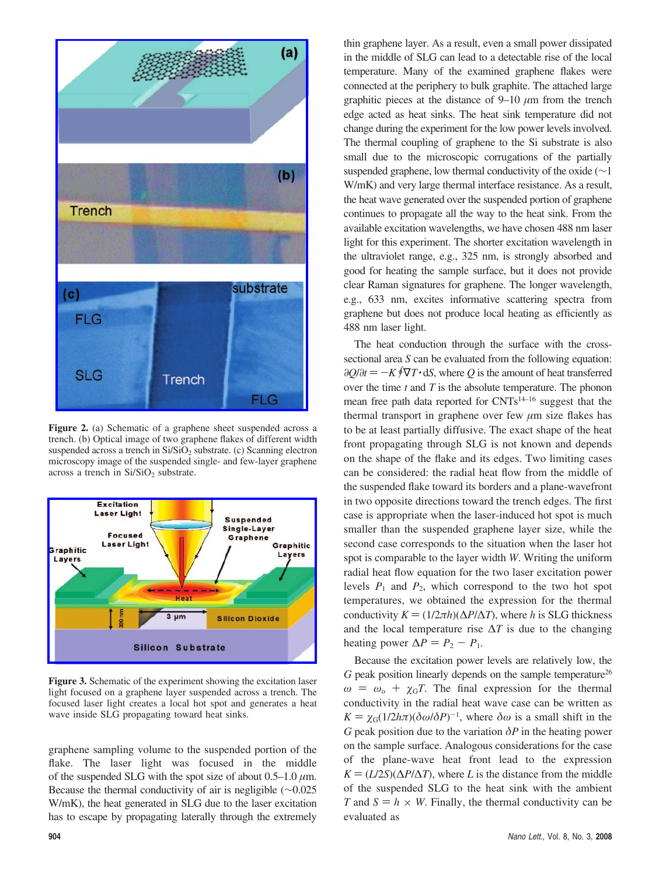

**Figure 2.** (a) Schematic of a graphene sheet suspended across a trench. (b) Optical image of two graphene flakes of different width suspended across a trench in  $Si/SiO<sub>2</sub>$  substrate. (c) Scanning electron microscopy image of the suspended single- and few-layer graphene across a trench in  $Si/SiO<sub>2</sub>$  substrate.



**Figure 3.** Schematic of the experiment showing the excitation laser light focused on a graphene layer suspended across a trench. The focused laser light creates a local hot spot and generates a heat wave inside SLG propagating toward heat sinks.

graphene sampling volume to the suspended portion of the flake. The laser light was focused in the middle of the suspended SLG with the spot size of about  $0.5-1.0 \mu$ m. Because the thermal conductivity of air is negligible (∼0.025 W/mK), the heat generated in SLG due to the laser excitation has to escape by propagating laterally through the extremely thin graphene layer. As a result, even a small power dissipated in the middle of SLG can lead to a detectable rise of the local temperature. Many of the examined graphene flakes were connected at the periphery to bulk graphite. The attached large graphitic pieces at the distance of 9–10 *µ*m from the trench edge acted as heat sinks. The heat sink temperature did not change during the experiment for the low power levels involved. The thermal coupling of graphene to the Si substrate is also small due to the microscopic corrugations of the partially suspended graphene, low thermal conductivity of the oxide ( $\sim$ 1 W/mK) and very large thermal interface resistance. As a result, the heat wave generated over the suspended portion of graphene continues to propagate all the way to the heat sink. From the available excitation wavelengths, we have chosen 488 nm laser light for this experiment. The shorter excitation wavelength in the ultraviolet range, e.g., 325 nm, is strongly absorbed and good for heating the sample surface, but it does not provide clear Raman signatures for graphene. The longer wavelength, e.g., 633 nm, excites informative scattering spectra from graphene but does not produce local heating as efficiently as 488 nm laser light.

The heat conduction through the surface with the crosssectional area *S* can be evaluated from the following equation:  $\partial O/\partial t = -K \oint \nabla T \cdot dS$ , where *Q* is the amount of heat transferred over the time *t* and *T* is the absolute temperature. The phonon mean free path data reported for  $CNTs^{14-16}$  suggest that the thermal transport in graphene over few *µm* size flakes has to be at least partially diffusive. The exact shape of the heat front propagating through SLG is not known and depends on the shape of the flake and its edges. Two limiting cases can be considered: the radial heat flow from the middle of the suspended flake toward its borders and a plane-wavefront in two opposite directions toward the trench edges. The first case is appropriate when the laser-induced hot spot is much smaller than the suspended graphene layer size, while the second case corresponds to the situation when the laser hot spot is comparable to the layer width *W*. Writing the uniform radial heat flow equation for the two laser excitation power levels  $P_1$  and  $P_2$ , which correspond to the two hot spot temperatures, we obtained the expression for the thermal conductivity  $K = (1/2\pi h)(\Delta P/\Delta T)$ , where *h* is SLG thickness and the local temperature rise  $\Delta T$  is due to the changing heating power  $\Delta P = P_2 - P_1$ .

Because the excitation power levels are relatively low, the *G* peak position linearly depends on the sample temperature<sup>26</sup>  $\omega = \omega_0 + \chi_0 T$ . The final expression for the thermal conductivity in the radial heat wave case can be written as  $K = \chi_G(1/2h\pi)(\delta\omega/\delta P)^{-1}$ , where  $\delta\omega$  is a small shift in the *G* peak position due to the veristion  $\delta P$  in the besting power *G* peak position due to the variation  $\delta P$  in the heating power on the sample surface. Analogous considerations for the case of the plane-wave heat front lead to the expression  $K = (L/2S)(\Delta P/\Delta T)$ , where *L* is the distance from the middle of the suspended SLG to the heat sink with the ambient *T* and  $S = h \times W$ . Finally, the thermal conductivity can be evaluated as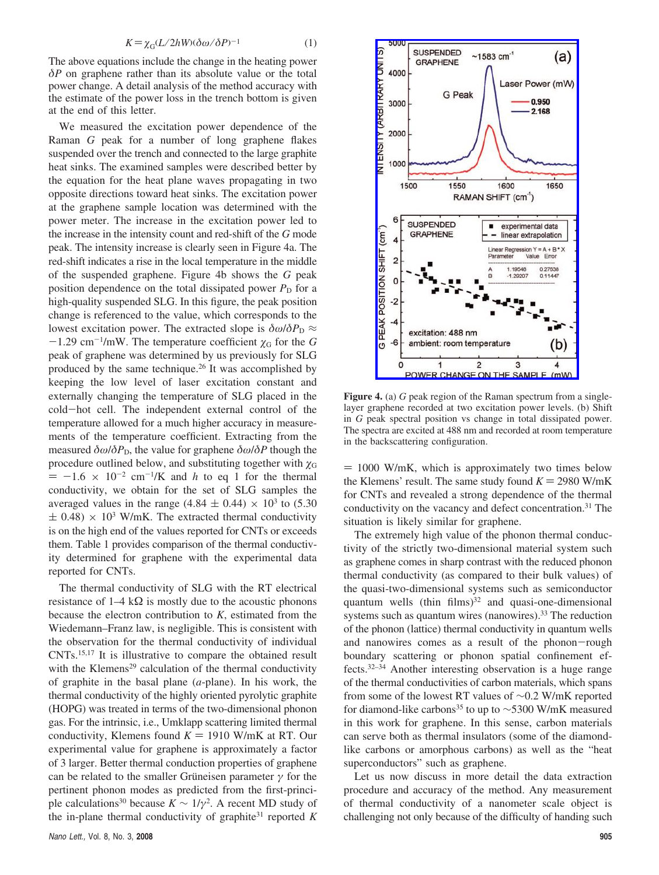$$
K = \chi_{G}(L/2hW)(\delta\omega/\delta P)^{-1}
$$
 (1)

The above equations include the change in the heating power *δP* on graphene rather than its absolute value or the total power change. A detail analysis of the method accuracy with the estimate of the power loss in the trench bottom is given at the end of this letter.

We measured the excitation power dependence of the Raman *G* peak for a number of long graphene flakes suspended over the trench and connected to the large graphite heat sinks. The examined samples were described better by the equation for the heat plane waves propagating in two opposite directions toward heat sinks. The excitation power at the graphene sample location was determined with the power meter. The increase in the excitation power led to the increase in the intensity count and red-shift of the *G* mode peak. The intensity increase is clearly seen in Figure 4a. The red-shift indicates a rise in the local temperature in the middle of the suspended graphene. Figure 4b shows the *G* peak position dependence on the total dissipated power  $P_D$  for a high-quality suspended SLG. In this figure, the peak position change is referenced to the value, which corresponds to the lowest excitation power. The extracted slope is  $\delta \omega / \delta P_D \approx$  $-1.29$  cm<sup>-1</sup>/mW. The temperature coefficient  $\chi_G$  for the *G* neak of graphene was determined by us previously for SI *G* peak of graphene was determined by us previously for SLG produced by the same technique.26 It was accomplished by keeping the low level of laser excitation constant and externally changing the temperature of SLG placed in the cold-hot cell. The independent external control of the temperature allowed for a much higher accuracy in measurements of the temperature coefficient. Extracting from the measured  $\delta \omega / \delta P_D$ , the value for graphene  $\delta \omega / \delta P$  though the procedure outlined below, and substituting together with  $\chi_{\rm G}$  $= -1.6 \times 10^{-2}$  cm<sup>-1</sup>/K and *h* to eq 1 for the thermal<br>conductivity, we obtain for the set of SLG samples the conductivity, we obtain for the set of SLG samples the averaged values in the range (4.84  $\pm$  0.44)  $\times$  10<sup>3</sup> to (5.30)  $\pm$  0.48) × 10<sup>3</sup> W/mK. The extracted thermal conductivity is on the high end of the values reported for CNTs or exceeds them. Table 1 provides comparison of the thermal conductivity determined for graphene with the experimental data reported for CNTs.

The thermal conductivity of SLG with the RT electrical resistance of  $1-4$  kΩ is mostly due to the acoustic phonons because the electron contribution to *K*, estimated from the Wiedemann–Franz law, is negligible. This is consistent with the observation for the thermal conductivity of individual CNTs.15,17 It is illustrative to compare the obtained result with the Klemens<sup>29</sup> calculation of the thermal conductivity of graphite in the basal plane (*a*-plane). In his work, the thermal conductivity of the highly oriented pyrolytic graphite (HOPG) was treated in terms of the two-dimensional phonon gas. For the intrinsic, i.e., Umklapp scattering limited thermal conductivity, Klemens found  $K = 1910$  W/mK at RT. Our experimental value for graphene is approximately a factor of 3 larger. Better thermal conduction properties of graphene can be related to the smaller Grüneisen parameter *γ* for the pertinent phonon modes as predicted from the first-principle calculations<sup>30</sup> because  $K \sim 1/\gamma^2$ . A recent MD study of the in-plane thermal conductivity of graphite<sup>31</sup> reported  $K$ 



**Figure 4.** (a) *G* peak region of the Raman spectrum from a singlelayer graphene recorded at two excitation power levels. (b) Shift in *G* peak spectral position vs change in total dissipated power. The spectra are excited at 488 nm and recorded at room temperature in the backscattering configuration.

 $= 1000$  W/mK, which is approximately two times below the Klemens' result. The same study found  $K = 2980$  W/mK for CNTs and revealed a strong dependence of the thermal conductivity on the vacancy and defect concentration.<sup>31</sup> The situation is likely similar for graphene.

The extremely high value of the phonon thermal conductivity of the strictly two-dimensional material system such as graphene comes in sharp contrast with the reduced phonon thermal conductivity (as compared to their bulk values) of the quasi-two-dimensional systems such as semiconductor quantum wells (thin films) $32$  and quasi-one-dimensional systems such as quantum wires (nanowires).<sup>33</sup> The reduction of the phonon (lattice) thermal conductivity in quantum wells and nanowires comes as a result of the phonon-rough boundary scattering or phonon spatial confinement effects.32–34 Another interesting observation is a huge range of the thermal conductivities of carbon materials, which spans from some of the lowest RT values of ∼0.2 W/mK reported for diamond-like carbons<sup>35</sup> to up to  $\sim$ 5300 W/mK measured in this work for graphene. In this sense, carbon materials can serve both as thermal insulators (some of the diamondlike carbons or amorphous carbons) as well as the "heat superconductors" such as graphene.

Let us now discuss in more detail the data extraction procedure and accuracy of the method. Any measurement of thermal conductivity of a nanometer scale object is challenging not only because of the difficulty of handing such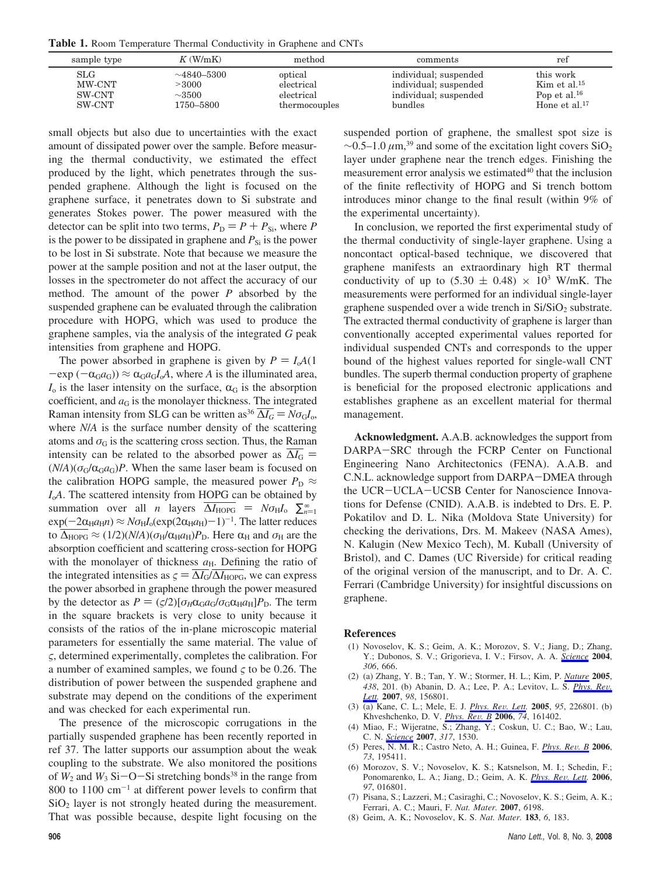**Table 1.** Room Temperature Thermal Conductivity in Graphene and CNTs

| sample type                       | $K$ (W/mK)                                             | method                                               | comments                                                                           | ref                                                                 |
|-----------------------------------|--------------------------------------------------------|------------------------------------------------------|------------------------------------------------------------------------------------|---------------------------------------------------------------------|
| SLG<br>MW-CNT<br>SW-CNT<br>SW-CNT | $\sim$ 4840–5300<br>>3000<br>${\sim}3500$<br>1750–5800 | optical<br>electrical<br>electrical<br>thermocouples | individual; suspended<br>individual; suspended<br>individual; suspended<br>bundles | this work<br>Kim et al. $15$<br>Pop et al. $16$<br>Hone et al. $17$ |

small objects but also due to uncertainties with the exact amount of dissipated power over the sample. Before measuring the thermal conductivity, we estimated the effect produced by the light, which penetrates through the suspended graphene. Although the light is focused on the graphene surface, it penetrates down to Si substrate and generates Stokes power. The power measured with the detector can be split into two terms,  $P_D = P + P_{\text{Si}}$ , where *P* is the power to be dissipated in graphene and  $P_{\text{Si}}$  is the power to be lost in Si substrate. Note that because we measure the power at the sample position and not at the laser output, the losses in the spectrometer do not affect the accuracy of our method. The amount of the power *P* absorbed by the suspended graphene can be evaluated through the calibration procedure with HOPG, which was used to produce the graphene samples, via the analysis of the integrated *G* peak intensities from graphene and HOPG.

The power absorbed in graphene is given by  $P = I_0A(1)$  $-\exp(-\alpha_{G}a_{G}) \approx \alpha_{G}a_{G}I_{o}A$ , where *A* is the illuminated area,  $I_0$  is the laser intensity on the surface,  $\alpha_G$  is the absorption coefficient, and  $a<sub>G</sub>$  is the monolayer thickness. The integrated Raman intensity from SLG can be written as<sup>36</sup>  $\overline{\Delta I_G} = N \sigma_G I_o$ , where *N*/*A* is the surface number density of the scattering atoms and  $\sigma$ G is the scattering cross section. Thus, the Raman intensity can be related to the absorbed power as  $\Delta I_G$  =  $(N/A)(\sigma_G/\alpha_G a_G)P$ . When the same laser beam is focused on the calibration HOPG sample, the measured power  $P_D \approx$ *I*o*A*. The scattered intensity from HOPG can be obtained by summation over all *n* layers  $\Delta I_{\text{HOPG}} = N \sigma_{\text{H}} I_{\text{o}} \sum_{n=1}^{\infty}$  $\exp(-2\alpha_{\text{H}}a_{\text{H}}n) \approx N\sigma_{\text{H}}I_0(\exp(2\alpha_{\text{H}}a_{\text{H}})-1)^{-1}$ . The latter reduces to  $\Delta_{\text{HOPG}} \approx (1/2)(N/A)(\sigma_{\text{H}}/\alpha_{\text{H}}a_{\text{H}})P_{\text{D}}$ . Here  $\alpha_{\text{H}}$  and  $\sigma_{\text{H}}$  are the absorption coefficient and scattering cross-section for HOPG with the monolayer of thickness  $a_H$ . Defining the ratio of the integrated intensities as  $\zeta = \Delta I_G/\Delta I_{\text{HOPG}}$ , we can express the power absorbed in graphene through the power measured by the detector as  $P = (ζ/2)[σ_Hα_Ga_G/σ_Gα_Ha_H]P_D$ . The term in the square brackets is very close to unity because it consists of the ratios of the in-plane microscopic material parameters for essentially the same material. The value of *ς*, determined experimentally, completes the calibration. For a number of examined samples, we found *ς* to be 0.26. The distribution of power between the suspended graphene and substrate may depend on the conditions of the experiment and was checked for each experimental run.

The presence of the microscopic corrugations in the partially suspended graphene has been recently reported in ref 37. The latter supports our assumption about the weak coupling to the substrate. We also monitored the positions of  $W_2$  and  $W_3$  Si-O-Si stretching bonds<sup>38</sup> in the range from 800 to  $1100 \text{ cm}^{-1}$  at different power levels to confirm that  $SiO<sub>2</sub>$  layer is not strongly heated during the measurement. That was possible because, despite light focusing on the suspended portion of graphene, the smallest spot size is  $\sim$ 0.5–1.0  $\mu$ m,<sup>39</sup> and some of the excitation light covers SiO<sub>2</sub> layer under graphene near the trench edges. Finishing the measurement error analysis we estimated<sup>40</sup> that the inclusion of the finite reflectivity of HOPG and Si trench bottom introduces minor change to the final result (within 9% of the experimental uncertainty).

In conclusion, we reported the first experimental study of the thermal conductivity of single-layer graphene. Using a noncontact optical-based technique, we discovered that graphene manifests an extraordinary high RT thermal conductivity of up to  $(5.30 \pm 0.48) \times 10^3$  W/mK. The measurements were performed for an individual single-layer graphene suspended over a wide trench in  $Si/SiO<sub>2</sub>$  substrate. The extracted thermal conductivity of graphene is larger than conventionally accepted experimental values reported for individual suspended CNTs and corresponds to the upper bound of the highest values reported for single-wall CNT bundles. The superb thermal conduction property of graphene is beneficial for the proposed electronic applications and establishes graphene as an excellent material for thermal management.

**Acknowledgment.** A.A.B. acknowledges the support from DARPA-SRC through the FCRP Center on Functional Engineering Nano Architectonics (FENA). A.A.B. and C.N.L. acknowledge support from DARPA-DMEA through the UCR-UCLA-UCSB Center for Nanoscience Innovations for Defense (CNID). A.A.B. is indebted to Drs. E. P. Pokatilov and D. L. Nika (Moldova State University) for checking the derivations, Drs. M. Makeev (NASA Ames), N. Kalugin (New Mexico Tech), M. Kuball (University of Bristol), and C. Dames (UC Riverside) for critical reading of the original version of the manuscript, and to Dr. A. C. Ferrari (Cambridge University) for insightful discussions on graphene.

## **References**

- (1) Novoselov, K. S.; Geim, A. K.; Morozov, S. V.; Jiang, D.; Zhang, Y.; Dubonos, S. V.; Grigorieva, I. V.; Firsov, A. A. *Science* **2004**, *306*, 666.
- (2) (a) Zhang, Y. B.; Tan, Y. W.; Stormer, H. L.; Kim, P. *Nature* **2005**, *<sup>438</sup>*, 201. (b) Abanin, D. A.; Lee, P. A.; Levitov, L. S. *Phys. Re*V*. Lett.* **2007**, *98*, 156801.
- (3) (a) Kane, C. L.; Mele, E. J. *Phys. Rev. Lett.* **2005**, 95, 226801. (b) Khveshchenko, D. V. *Phys. Rev. B* **2006**, 74, 161402.
- (4) Miao, F.; Wijeratne, S.; Zhang, Y.; Coskun, U. C.; Bao, W.; Lau, C. N. *Science* **2007**, *317*, 1530.
- (5) Peres, N. M. R.; Castro Neto, A. H.; Guinea, F. *Phys. Re*V*. B* **<sup>2006</sup>**, *73*, 195411.
- (6) Morozov, S. V.; Novoselov, K. S.; Katsnelson, M. I.; Schedin, F.; Ponomarenko, L. A.; Jiang, D.; Geim, A. K. *Phys. Re*V*. Lett.* **<sup>2006</sup>**, *97*, 016801.
- (7) Pisana, S.; Lazzeri, M.; Casiraghi, C.; Novoselov, K. S.; Geim, A. K.; Ferrari, A. C.; Mauri, F. *Nat. Mater.* **2007**, *6*198.
- (8) Geim, A. K.; Novoselov, K. S. *Nat. Mater.* **183**, *6*, 183.